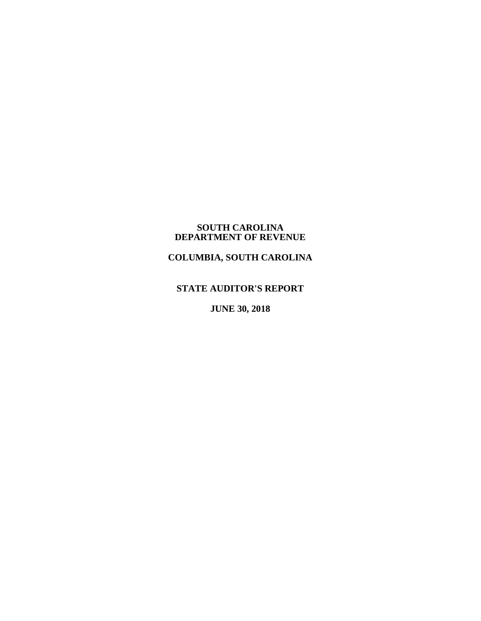#### **SOUTH CAROLINA DEPARTMENT OF REVENUE**

# **COLUMBIA, SOUTH CAROLINA**

# **STATE AUDITOR'S REPORT**

**JUNE 30, 2018**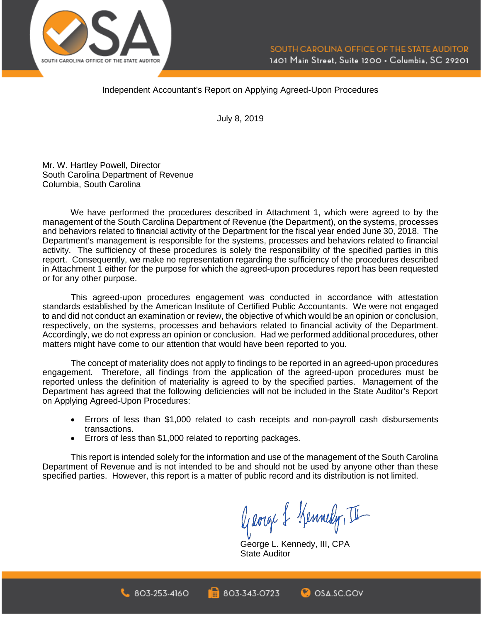

### Independent Accountant's Report on Applying Agreed-Upon Procedures

July 8, 2019

Mr. W. Hartley Powell, Director South Carolina Department of Revenue Columbia, South Carolina

We have performed the procedures described in Attachment 1, which were agreed to by the management of the South Carolina Department of Revenue (the Department), on the systems, processes and behaviors related to financial activity of the Department for the fiscal year ended June 30, 2018. The Department's management is responsible for the systems, processes and behaviors related to financial activity. The sufficiency of these procedures is solely the responsibility of the specified parties in this report. Consequently, we make no representation regarding the sufficiency of the procedures described in Attachment 1 either for the purpose for which the agreed-upon procedures report has been requested or for any other purpose.

This agreed-upon procedures engagement was conducted in accordance with attestation standards established by the American Institute of Certified Public Accountants. We were not engaged to and did not conduct an examination or review, the objective of which would be an opinion or conclusion, respectively, on the systems, processes and behaviors related to financial activity of the Department. Accordingly, we do not express an opinion or conclusion. Had we performed additional procedures, other matters might have come to our attention that would have been reported to you.

The concept of materiality does not apply to findings to be reported in an agreed-upon procedures engagement. Therefore, all findings from the application of the agreed-upon procedures must be reported unless the definition of materiality is agreed to by the specified parties. Management of the Department has agreed that the following deficiencies will not be included in the State Auditor's Report on Applying Agreed-Upon Procedures:

- Errors of less than \$1,000 related to cash receipts and non-payroll cash disbursements transactions.
- Errors of less than \$1,000 related to reporting packages.

This report is intended solely for the information and use of the management of the South Carolina Department of Revenue and is not intended to be and should not be used by anyone other than these specified parties. However, this report is a matter of public record and its distribution is not limited.

George & Kennedy, II

George L. Kennedy, III, CPA State Auditor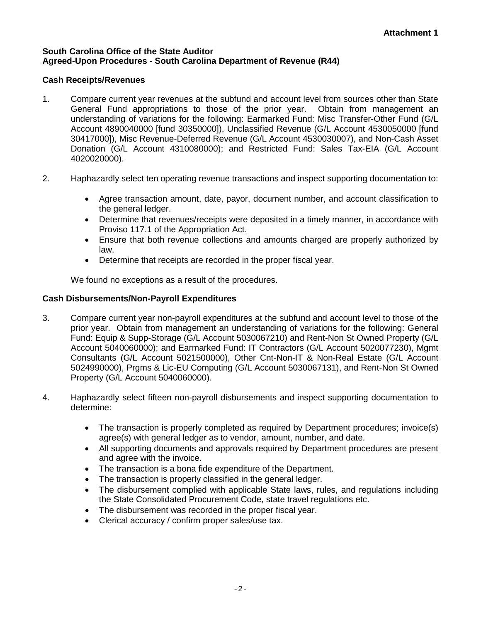# **South Carolina Office of the State Auditor Agreed-Upon Procedures - South Carolina Department of Revenue (R44)**

# **Cash Receipts/Revenues**

- 1. Compare current year revenues at the subfund and account level from sources other than State General Fund appropriations to those of the prior year. Obtain from management an understanding of variations for the following: Earmarked Fund: Misc Transfer-Other Fund (G/L Account 4890040000 [fund 30350000]), Unclassified Revenue (G/L Account 4530050000 [fund 30417000]), Misc Revenue-Deferred Revenue (G/L Account 4530030007), and Non-Cash Asset Donation (G/L Account 4310080000); and Restricted Fund: Sales Tax-EIA (G/L Account 4020020000).
- 2. Haphazardly select ten operating revenue transactions and inspect supporting documentation to:
	- Agree transaction amount, date, payor, document number, and account classification to the general ledger.
	- Determine that revenues/receipts were deposited in a timely manner, in accordance with Proviso 117.1 of the Appropriation Act.
	- Ensure that both revenue collections and amounts charged are properly authorized by law.
	- Determine that receipts are recorded in the proper fiscal year.

We found no exceptions as a result of the procedures.

# **Cash Disbursements/Non-Payroll Expenditures**

- 3. Compare current year non-payroll expenditures at the subfund and account level to those of the prior year. Obtain from management an understanding of variations for the following: General Fund: Equip & Supp-Storage (G/L Account 5030067210) and Rent-Non St Owned Property (G/L Account 5040060000); and Earmarked Fund: IT Contractors (G/L Account 5020077230), Mgmt Consultants (G/L Account 5021500000), Other Cnt-Non-IT & Non-Real Estate (G/L Account 5024990000), Prgms & Lic-EU Computing (G/L Account 5030067131), and Rent-Non St Owned Property (G/L Account 5040060000).
- 4. Haphazardly select fifteen non-payroll disbursements and inspect supporting documentation to determine:
	- The transaction is properly completed as required by Department procedures; invoice(s) agree(s) with general ledger as to vendor, amount, number, and date.
	- All supporting documents and approvals required by Department procedures are present and agree with the invoice.
	- The transaction is a bona fide expenditure of the Department.
	- The transaction is properly classified in the general ledger.
	- The disbursement complied with applicable State laws, rules, and regulations including the State Consolidated Procurement Code, state travel regulations etc.
	- The disbursement was recorded in the proper fiscal year.
	- Clerical accuracy / confirm proper sales/use tax.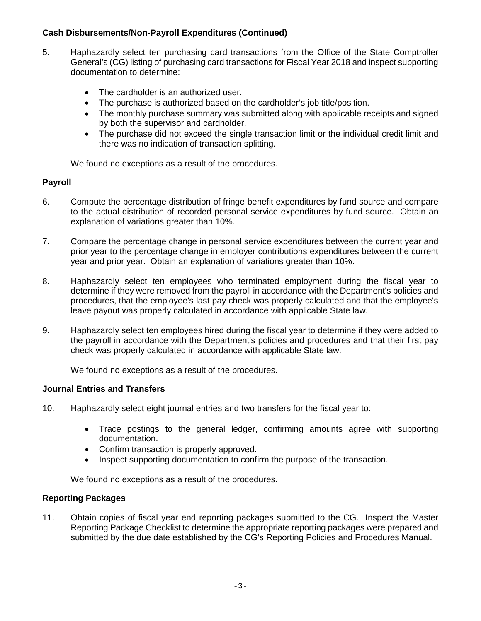# **Cash Disbursements/Non-Payroll Expenditures (Continued)**

- 5. Haphazardly select ten purchasing card transactions from the Office of the State Comptroller General's (CG) listing of purchasing card transactions for Fiscal Year 2018 and inspect supporting documentation to determine:
	- The cardholder is an authorized user.
	- The purchase is authorized based on the cardholder's job title/position.
	- The monthly purchase summary was submitted along with applicable receipts and signed by both the supervisor and cardholder.
	- The purchase did not exceed the single transaction limit or the individual credit limit and there was no indication of transaction splitting.

We found no exceptions as a result of the procedures.

# **Payroll**

- 6. Compute the percentage distribution of fringe benefit expenditures by fund source and compare to the actual distribution of recorded personal service expenditures by fund source. Obtain an explanation of variations greater than 10%.
- 7. Compare the percentage change in personal service expenditures between the current year and prior year to the percentage change in employer contributions expenditures between the current year and prior year. Obtain an explanation of variations greater than 10%.
- 8. Haphazardly select ten employees who terminated employment during the fiscal year to determine if they were removed from the payroll in accordance with the Department's policies and procedures, that the employee's last pay check was properly calculated and that the employee's leave payout was properly calculated in accordance with applicable State law.
- 9. Haphazardly select ten employees hired during the fiscal year to determine if they were added to the payroll in accordance with the Department's policies and procedures and that their first pay check was properly calculated in accordance with applicable State law.

We found no exceptions as a result of the procedures.

# **Journal Entries and Transfers**

- 10. Haphazardly select eight journal entries and two transfers for the fiscal year to:
	- Trace postings to the general ledger, confirming amounts agree with supporting documentation.
	- Confirm transaction is properly approved.
	- Inspect supporting documentation to confirm the purpose of the transaction.

We found no exceptions as a result of the procedures.

#### **Reporting Packages**

11. Obtain copies of fiscal year end reporting packages submitted to the CG. Inspect the Master Reporting Package Checklist to determine the appropriate reporting packages were prepared and submitted by the due date established by the CG's Reporting Policies and Procedures Manual.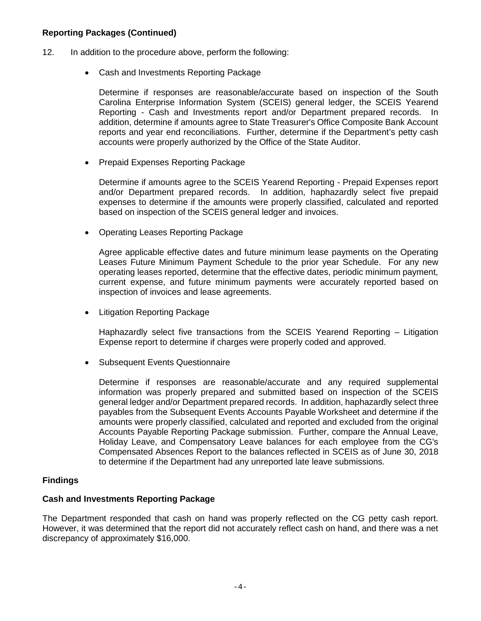# **Reporting Packages (Continued)**

- 12. In addition to the procedure above, perform the following:
	- Cash and Investments Reporting Package

Determine if responses are reasonable/accurate based on inspection of the South Carolina Enterprise Information System (SCEIS) general ledger, the SCEIS Yearend Reporting - Cash and Investments report and/or Department prepared records. In addition, determine if amounts agree to State Treasurer's Office Composite Bank Account reports and year end reconciliations. Further, determine if the Department's petty cash accounts were properly authorized by the Office of the State Auditor.

• Prepaid Expenses Reporting Package

Determine if amounts agree to the SCEIS Yearend Reporting - Prepaid Expenses report and/or Department prepared records. In addition, haphazardly select five prepaid expenses to determine if the amounts were properly classified, calculated and reported based on inspection of the SCEIS general ledger and invoices.

• Operating Leases Reporting Package

Agree applicable effective dates and future minimum lease payments on the Operating Leases Future Minimum Payment Schedule to the prior year Schedule. For any new operating leases reported, determine that the effective dates, periodic minimum payment, current expense, and future minimum payments were accurately reported based on inspection of invoices and lease agreements.

• Litigation Reporting Package

Haphazardly select five transactions from the SCEIS Yearend Reporting – Litigation Expense report to determine if charges were properly coded and approved.

• Subsequent Events Questionnaire

Determine if responses are reasonable/accurate and any required supplemental information was properly prepared and submitted based on inspection of the SCEIS general ledger and/or Department prepared records. In addition, haphazardly select three payables from the Subsequent Events Accounts Payable Worksheet and determine if the amounts were properly classified, calculated and reported and excluded from the original Accounts Payable Reporting Package submission. Further, compare the Annual Leave, Holiday Leave, and Compensatory Leave balances for each employee from the CG's Compensated Absences Report to the balances reflected in SCEIS as of June 30, 2018 to determine if the Department had any unreported late leave submissions.

# **Findings**

#### **Cash and Investments Reporting Package**

The Department responded that cash on hand was properly reflected on the CG petty cash report. However, it was determined that the report did not accurately reflect cash on hand, and there was a net discrepancy of approximately \$16,000.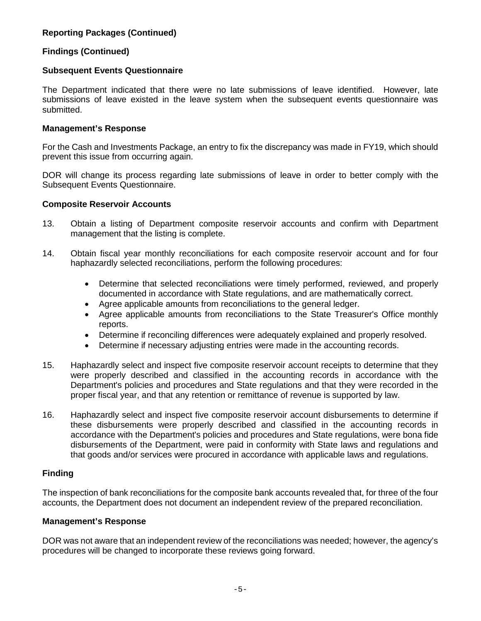# **Reporting Packages (Continued)**

# **Findings (Continued)**

# **Subsequent Events Questionnaire**

The Department indicated that there were no late submissions of leave identified. However, late submissions of leave existed in the leave system when the subsequent events questionnaire was submitted.

### **Management's Response**

For the Cash and Investments Package, an entry to fix the discrepancy was made in FY19, which should prevent this issue from occurring again.

DOR will change its process regarding late submissions of leave in order to better comply with the Subsequent Events Questionnaire.

### **Composite Reservoir Accounts**

- 13. Obtain a listing of Department composite reservoir accounts and confirm with Department management that the listing is complete.
- 14. Obtain fiscal year monthly reconciliations for each composite reservoir account and for four haphazardly selected reconciliations, perform the following procedures:
	- Determine that selected reconciliations were timely performed, reviewed, and properly documented in accordance with State regulations, and are mathematically correct.
	- Agree applicable amounts from reconciliations to the general ledger.
	- Agree applicable amounts from reconciliations to the State Treasurer's Office monthly reports.
	- Determine if reconciling differences were adequately explained and properly resolved.
	- Determine if necessary adjusting entries were made in the accounting records.
- 15. Haphazardly select and inspect five composite reservoir account receipts to determine that they were properly described and classified in the accounting records in accordance with the Department's policies and procedures and State regulations and that they were recorded in the proper fiscal year, and that any retention or remittance of revenue is supported by law.
- 16. Haphazardly select and inspect five composite reservoir account disbursements to determine if these disbursements were properly described and classified in the accounting records in accordance with the Department's policies and procedures and State regulations, were bona fide disbursements of the Department, were paid in conformity with State laws and regulations and that goods and/or services were procured in accordance with applicable laws and regulations.

# **Finding**

The inspection of bank reconciliations for the composite bank accounts revealed that, for three of the four accounts, the Department does not document an independent review of the prepared reconciliation.

#### **Management's Response**

DOR was not aware that an independent review of the reconciliations was needed; however, the agency's procedures will be changed to incorporate these reviews going forward.